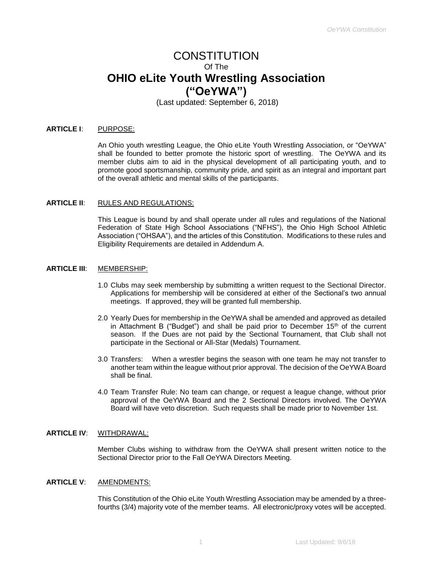# CONSTITUTION Of The **OHIO eLite Youth Wrestling Association ("OeYWA")**

(Last updated: September 6, 2018)

#### **ARTICLE I**: PURPOSE:

An Ohio youth wrestling League, the Ohio eLite Youth Wrestling Association, or "OeYWA" shall be founded to better promote the historic sport of wrestling. The OeYWA and its member clubs aim to aid in the physical development of all participating youth, and to promote good sportsmanship, community pride, and spirit as an integral and important part of the overall athletic and mental skills of the participants.

#### **ARTICLE II**: RULES AND REGULATIONS:

This League is bound by and shall operate under all rules and regulations of the National Federation of State High School Associations ("NFHS"), the Ohio High School Athletic Association ("OHSAA"), and the articles of this Constitution. Modifications to these rules and Eligibility Requirements are detailed in Addendum A.

#### **ARTICLE III**: MEMBERSHIP:

- 1.0 Clubs may seek membership by submitting a written request to the Sectional Director. Applications for membership will be considered at either of the Sectional's two annual meetings. If approved, they will be granted full membership.
- 2.0 Yearly Dues for membership in the OeYWA shall be amended and approved as detailed in Attachment B ("Budget") and shall be paid prior to December  $15<sup>th</sup>$  of the current season. If the Dues are not paid by the Sectional Tournament, that Club shall not participate in the Sectional or All-Star (Medals) Tournament.
- 3.0 Transfers: When a wrestler begins the season with one team he may not transfer to another team within the league without prior approval. The decision of the OeYWA Board shall be final.
- 4.0 Team Transfer Rule: No team can change, or request a league change, without prior approval of the OeYWA Board and the 2 Sectional Directors involved. The OeYWA Board will have veto discretion. Such requests shall be made prior to November 1st.

## **ARTICLE IV**: WITHDRAWAL:

Member Clubs wishing to withdraw from the OeYWA shall present written notice to the Sectional Director prior to the Fall OeYWA Directors Meeting.

#### **ARTICLE V**: AMENDMENTS:

This Constitution of the Ohio eLite Youth Wrestling Association may be amended by a threefourths (3/4) majority vote of the member teams. All electronic/proxy votes will be accepted.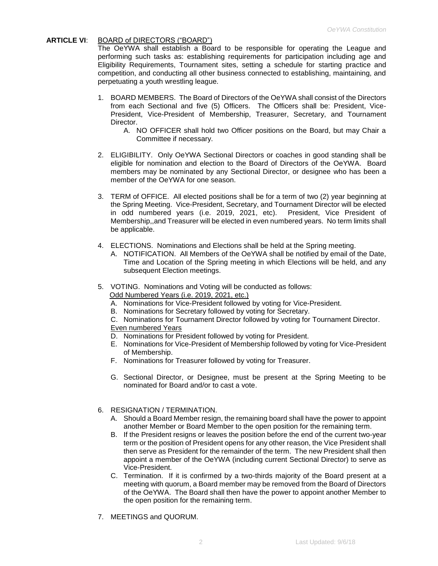## **ARTICLE VI**: BOARD of DIRECTORS ("BOARD")

The OeYWA shall establish a Board to be responsible for operating the League and performing such tasks as: establishing requirements for participation including age and Eligibility Requirements, Tournament sites, setting a schedule for starting practice and competition, and conducting all other business connected to establishing, maintaining, and perpetuating a youth wrestling league.

- 1. BOARD MEMBERS. The Board of Directors of the OeYWA shall consist of the Directors from each Sectional and five (5) Officers. The Officers shall be: President, Vice-President, Vice-President of Membership, Treasurer, Secretary, and Tournament Director.
	- A. NO OFFICER shall hold two Officer positions on the Board, but may Chair a Committee if necessary.
- 2. ELIGIBILITY. Only OeYWA Sectional Directors or coaches in good standing shall be eligible for nomination and election to the Board of Directors of the OeYWA. Board members may be nominated by any Sectional Director, or designee who has been a member of the OeYWA for one season.
- 3. TERM of OFFICE. All elected positions shall be for a term of two (2) year beginning at the Spring Meeting. Vice-President, Secretary, and Tournament Director will be elected in odd numbered years (i.e. 2019, 2021, etc). President, Vice President of Membership,,and Treasurer will be elected in even numbered years. No term limits shall be applicable.
- 4. ELECTIONS. Nominations and Elections shall be held at the Spring meeting.
	- A. NOTIFICATION. All Members of the OeYWA shall be notified by email of the Date, Time and Location of the Spring meeting in which Elections will be held, and any subsequent Election meetings.
- 5. VOTING. Nominations and Voting will be conducted as follows:

Odd Numbered Years (i.e. 2019, 2021, etc.)

- A. Nominations for Vice-President followed by voting for Vice-President.
- B. Nominations for Secretary followed by voting for Secretary.
- C. Nominations for Tournament Director followed by voting for Tournament Director. Even numbered Years
- D. Nominations for President followed by voting for President.
- E. Nominations for Vice-President of Membership followed by voting for Vice-President of Membership.
- F. Nominations for Treasurer followed by voting for Treasurer.
- G. Sectional Director, or Designee, must be present at the Spring Meeting to be nominated for Board and/or to cast a vote.

## 6. RESIGNATION / TERMINATION.

- A. Should a Board Member resign, the remaining board shall have the power to appoint another Member or Board Member to the open position for the remaining term.
- B. If the President resigns or leaves the position before the end of the current two-year term or the position of President opens for any other reason, the Vice President shall then serve as President for the remainder of the term. The new President shall then appoint a member of the OeYWA (including current Sectional Director) to serve as Vice-President.
- C. Termination. If it is confirmed by a two-thirds majority of the Board present at a meeting with quorum, a Board member may be removed from the Board of Directors of the OeYWA. The Board shall then have the power to appoint another Member to the open position for the remaining term.
- 7. MEETINGS and QUORUM.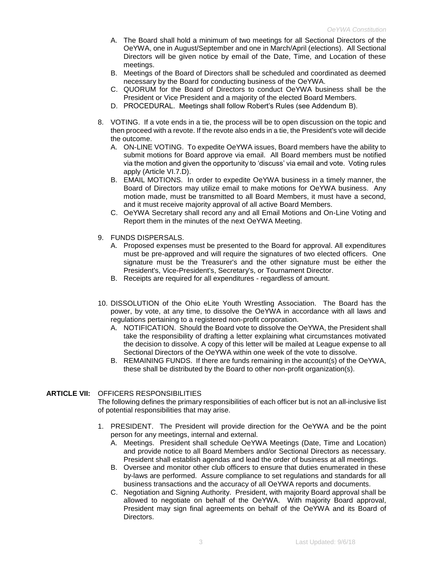- A. The Board shall hold a minimum of two meetings for all Sectional Directors of the OeYWA, one in August/September and one in March/April (elections). All Sectional Directors will be given notice by email of the Date, Time, and Location of these meetings.
- B. Meetings of the Board of Directors shall be scheduled and coordinated as deemed necessary by the Board for conducting business of the OeYWA.
- C. QUORUM for the Board of Directors to conduct OeYWA business shall be the President or Vice President and a majority of the elected Board Members.
- D. PROCEDURAL. Meetings shall follow Robert's Rules (see Addendum B).
- 8. VOTING. If a vote ends in a tie, the process will be to open discussion on the topic and then proceed with a revote. If the revote also ends in a tie, the President's vote will decide the outcome.
	- A. ON-LINE VOTING. To expedite OeYWA issues, Board members have the ability to submit motions for Board approve via email. All Board members must be notified via the motion and given the opportunity to 'discuss' via email and vote. Voting rules apply (Article VI.7.D).
	- B. EMAIL MOTIONS. In order to expedite OeYWA business in a timely manner, the Board of Directors may utilize email to make motions for OeYWA business. Any motion made, must be transmitted to all Board Members, it must have a second, and it must receive majority approval of all active Board Members.
	- C. OeYWA Secretary shall record any and all Email Motions and On-Line Voting and Report them in the minutes of the next OeYWA Meeting.
- 9. FUNDS DISPERSALS.
	- A. Proposed expenses must be presented to the Board for approval. All expenditures must be pre-approved and will require the signatures of two elected officers. One signature must be the Treasurer's and the other signature must be either the President's, Vice-President's, Secretary's, or Tournament Director.
	- B. Receipts are required for all expenditures regardless of amount.
- 10. DISSOLUTION of the Ohio eLite Youth Wrestling Association. The Board has the power, by vote, at any time, to dissolve the OeYWA in accordance with all laws and regulations pertaining to a registered non-profit corporation.
	- A. NOTIFICATION. Should the Board vote to dissolve the OeYWA, the President shall take the responsibility of drafting a letter explaining what circumstances motivated the decision to dissolve. A copy of this letter will be mailed at League expense to all Sectional Directors of the OeYWA within one week of the vote to dissolve.
	- B. REMAINING FUNDS. If there are funds remaining in the account(s) of the OeYWA, these shall be distributed by the Board to other non-profit organization(s).

## **ARTICLE VII:** OFFICERS RESPONSIBILITIES

The following defines the primary responsibilities of each officer but is not an all-inclusive list of potential responsibilities that may arise.

- 1. PRESIDENT. The President will provide direction for the OeYWA and be the point person for any meetings, internal and external.
	- A. Meetings. President shall schedule OeYWA Meetings (Date, Time and Location) and provide notice to all Board Members and/or Sectional Directors as necessary. President shall establish agendas and lead the order of business at all meetings.
	- B. Oversee and monitor other club officers to ensure that duties enumerated in these by-laws are performed. Assure compliance to set regulations and standards for all business transactions and the accuracy of all OeYWA reports and documents.
	- C. Negotiation and Signing Authority. President, with majority Board approval shall be allowed to negotiate on behalf of the OeYWA. With majority Board approval, President may sign final agreements on behalf of the OeYWA and its Board of Directors.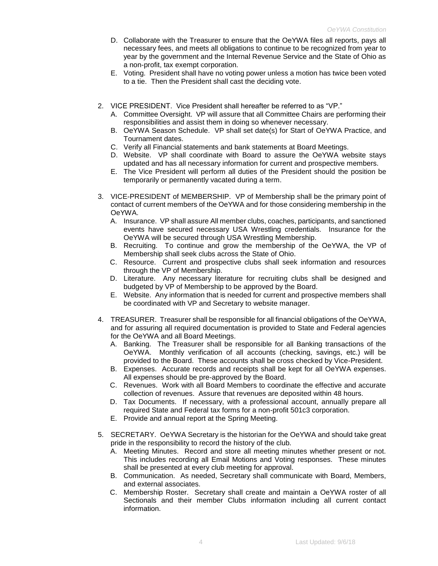- D. Collaborate with the Treasurer to ensure that the OeYWA files all reports, pays all necessary fees, and meets all obligations to continue to be recognized from year to year by the government and the Internal Revenue Service and the State of Ohio as a non-profit, tax exempt corporation.
- E. Voting. President shall have no voting power unless a motion has twice been voted to a tie. Then the President shall cast the deciding vote.
- 2. VICE PRESIDENT. Vice President shall hereafter be referred to as "VP."
	- A. Committee Oversight. VP will assure that all Committee Chairs are performing their responsibilities and assist them in doing so whenever necessary.
	- B. OeYWA Season Schedule. VP shall set date(s) for Start of OeYWA Practice, and Tournament dates.
	- C. Verify all Financial statements and bank statements at Board Meetings.
	- D. Website. VP shall coordinate with Board to assure the OeYWA website stays updated and has all necessary information for current and prospective members.
	- E. The Vice President will perform all duties of the President should the position be temporarily or permanently vacated during a term.
- 3. VICE-PRESIDENT of MEMBERSHIP. VP of Membership shall be the primary point of contact of current members of the OeYWA and for those considering membership in the OeYWA.
	- A. Insurance. VP shall assure All member clubs, coaches, participants, and sanctioned events have secured necessary USA Wrestling credentials. Insurance for the OeYWA will be secured through USA Wrestling Membership.
	- B. Recruiting. To continue and grow the membership of the OeYWA, the VP of Membership shall seek clubs across the State of Ohio.
	- C. Resource. Current and prospective clubs shall seek information and resources through the VP of Membership.
	- D. Literature. Any necessary literature for recruiting clubs shall be designed and budgeted by VP of Membership to be approved by the Board.
	- E. Website. Any information that is needed for current and prospective members shall be coordinated with VP and Secretary to website manager.
- 4. TREASURER. Treasurer shall be responsible for all financial obligations of the OeYWA, and for assuring all required documentation is provided to State and Federal agencies for the OeYWA and all Board Meetings.
	- A. Banking. The Treasurer shall be responsible for all Banking transactions of the OeYWA. Monthly verification of all accounts (checking, savings, etc.) will be provided to the Board. These accounts shall be cross checked by Vice-President.
	- B. Expenses. Accurate records and receipts shall be kept for all OeYWA expenses. All expenses should be pre-approved by the Board.
	- C. Revenues. Work with all Board Members to coordinate the effective and accurate collection of revenues. Assure that revenues are deposited within 48 hours.
	- D. Tax Documents. If necessary, with a professional account, annually prepare all required State and Federal tax forms for a non-profit 501c3 corporation.
	- E. Provide and annual report at the Spring Meeting.
- 5. SECRETARY. OeYWA Secretary is the historian for the OeYWA and should take great pride in the responsibility to record the history of the club.
	- A. Meeting Minutes. Record and store all meeting minutes whether present or not. This includes recording all Email Motions and Voting responses. These minutes shall be presented at every club meeting for approval.
	- B. Communication. As needed, Secretary shall communicate with Board, Members, and external associates.
	- C. Membership Roster. Secretary shall create and maintain a OeYWA roster of all Sectionals and their member Clubs information including all current contact information.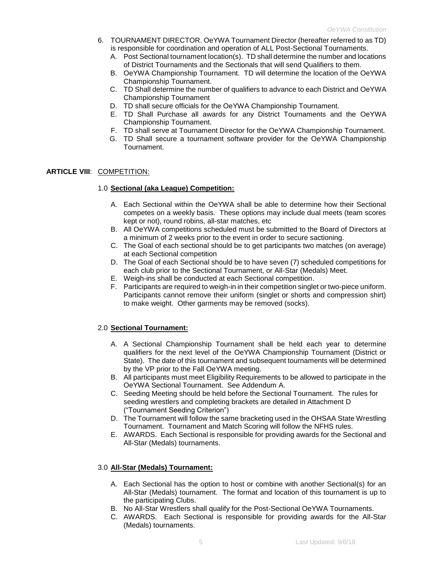- 6. TOURNAMENT DIRECTOR. OeYWA Tournament Director (hereafter referred to as TD) is responsible for coordination and operation of ALL Post-Sectional Tournaments.
	- A. Post Sectional tournament location(s). TD shall determine the number and locations of District Tournaments and the Sectionals that will send Qualifiers to them.
	- B. OeYWA Championship Tournament. TD will determine the location of the OeYWA Championship Tournament.
	- C. TD Shall determine the number of qualifiers to advance to each District and OeYWA Championship Tournament
	- D. TD shall secure officials for the OeYWA Championship Tournament.
	- E. TD Shall Purchase all awards for any District Tournaments and the OeYWA Championship Tournament.
	- F. TD shall serve at Tournament Director for the OeYWA Championship Tournament.
	- G. TD Shall secure a tournament software provider for the OeYWA Championship Tournament.

### **ARTICLE VIII**: COMPETITION:

## 1.0 **Sectional (aka League) Competition:**

- A. Each Sectional within the OeYWA shall be able to determine how their Sectional competes on a weekly basis. These options may include dual meets (team scores kept or not), round robins, all-star matches, etc
- B. All OeYWA competitions scheduled must be submitted to the Board of Directors at a minimum of 2 weeks prior to the event in order to secure sactioning.
- C. The Goal of each sectional should be to get participants two matches (on average) at each Sectional competition
- D. The Goal of each Sectional should be to have seven (7) scheduled competitions for each club prior to the Sectional Tournament, or All-Star (Medals) Meet.
- E. Weigh-ins shall be conducted at each Sectional competition.
- F. Participants are required to weigh-in in their competition singlet or two-piece uniform. Participants cannot remove their uniform (singlet or shorts and compression shirt) to make weight. Other garments may be removed (socks).

### 2.0 **Sectional Tournament:**

- A. A Sectional Championship Tournament shall be held each year to determine qualifiers for the next level of the OeYWA Championship Tournament (District or State). The date of this tournament and subsequent tournaments will be determined by the VP prior to the Fall OeYWA meeting.
- B. All participants must meet Eligibility Requirements to be allowed to participate in the OeYWA Sectional Tournament. See Addendum A.
- C. Seeding Meeting should be held before the Sectional Tournament. The rules for seeding wrestlers and completing brackets are detailed in Attachment D ("Tournament Seeding Criterion")
- D. The Tournament will follow the same bracketing used in the OHSAA State Wrestling Tournament. Tournament and Match Scoring will follow the NFHS rules.
- E. AWARDS. Each Sectional is responsible for providing awards for the Sectional and All-Star (Medals) tournaments.

## 3.0 **All-Star (Medals) Tournament:**

- A. Each Sectional has the option to host or combine with another Sectional(s) for an All-Star (Medals) tournament. The format and location of this tournament is up to the participating Clubs.
- B. No All-Star Wrestlers shall qualify for the Post-Sectional OeYWA Tournaments.
- C. AWARDS. Each Sectional is responsible for providing awards for the All-Star (Medals) tournaments.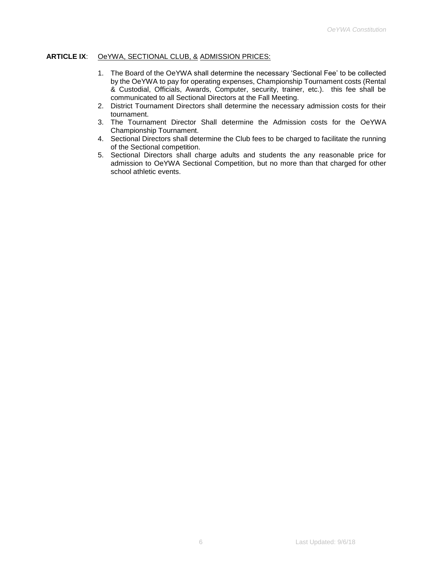## **ARTICLE IX**: OeYWA, SECTIONAL CLUB, & ADMISSION PRICES:

- 1. The Board of the OeYWA shall determine the necessary 'Sectional Fee' to be collected by the OeYWA to pay for operating expenses, Championship Tournament costs (Rental & Custodial, Officials, Awards, Computer, security, trainer, etc.). this fee shall be communicated to all Sectional Directors at the Fall Meeting.
- 2. District Tournament Directors shall determine the necessary admission costs for their tournament.
- 3. The Tournament Director Shall determine the Admission costs for the OeYWA Championship Tournament.
- 4. Sectional Directors shall determine the Club fees to be charged to facilitate the running of the Sectional competition.
- 5. Sectional Directors shall charge adults and students the any reasonable price for admission to OeYWA Sectional Competition, but no more than that charged for other school athletic events.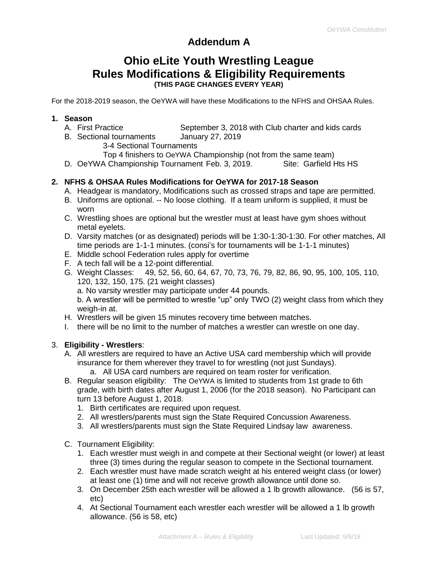# **Addendum A**

# **Ohio eLite Youth Wrestling League Rules Modifications & Eligibility Requirements (THIS PAGE CHANGES EVERY YEAR)**

For the 2018-2019 season, the OeYWA will have these Modifications to the NFHS and OHSAA Rules.

# **1. Season**

- A. First Practice September 3, 2018 with Club charter and kids cards
- B. Sectional tournaments January 27, 2019
	- 3-4 Sectional Tournaments
	- Top 4 finishers to OeYWA Championship (not from the same team)
- D. OeYWA Championship Tournament Feb. 3, 2019. Site: Garfield Hts HS

# **2. NFHS & OHSAA Rules Modifications for OeYWA for 2017-18 Season**

- A. Headgear is mandatory, Modifications such as crossed straps and tape are permitted.
- B. Uniforms are optional. -- No loose clothing. If a team uniform is supplied, it must be worn
- C. Wrestling shoes are optional but the wrestler must at least have gym shoes without metal eyelets.
- D. Varsity matches (or as designated) periods will be 1:30-1:30-1:30. For other matches, All time periods are 1-1-1 minutes. (consi's for tournaments will be 1-1-1 minutes)
- E. Middle school Federation rules apply for overtime
- F. A tech fall will be a 12-point differential.
- G. Weight Classes: 49, 52, 56, 60, 64, 67, 70, 73, 76, 79, 82, 86, 90, 95, 100, 105, 110, 120, 132, 150, 175. (21 weight classes)

a. No varsity wrestler may participate under 44 pounds.

b. A wrestler will be permitted to wrestle "up" only TWO (2) weight class from which they weigh-in at.

- H. Wrestlers will be given 15 minutes recovery time between matches.
- I. there will be no limit to the number of matches a wrestler can wrestle on one day.

# 3. **Eligibility - Wrestlers**:

- A. All wrestlers are required to have an Active USA card membership which will provide insurance for them wherever they travel to for wrestling (not just Sundays).
	- a. All USA card numbers are required on team roster for verification.
- B. Regular season eligibility: The OeYWA is limited to students from 1st grade to 6th grade, with birth dates after August 1, 2006 (for the 2018 season). No Participant can turn 13 before August 1, 2018.
	- 1. Birth certificates are required upon request.
	- 2. All wrestlers/parents must sign the State Required Concussion Awareness.
	- 3. All wrestlers/parents must sign the State Required Lindsay law awareness.
- C. Tournament Eligibility:
	- 1. Each wrestler must weigh in and compete at their Sectional weight (or lower) at least three (3) times during the regular season to compete in the Sectional tournament.
	- 2. Each wrestler must have made scratch weight at his entered weight class (or lower) at least one (1) time and will not receive growth allowance until done so.
	- 3. On December 25th each wrestler will be allowed a 1 lb growth allowance. (56 is 57, etc)
	- 4. At Sectional Tournament each wrestler each wrestler will be allowed a 1 lb growth allowance. (56 is 58, etc)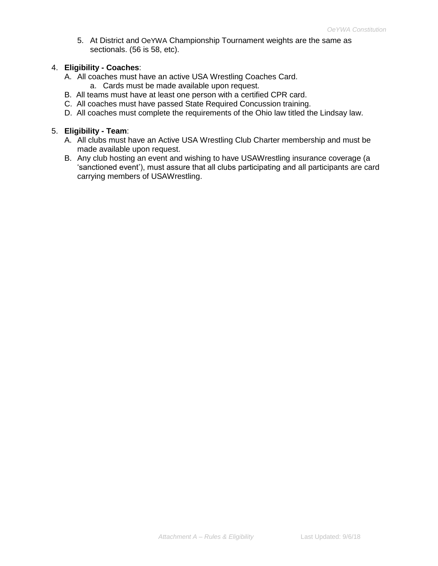5. At District and OeYWA Championship Tournament weights are the same as sectionals. (56 is 58, etc).

## 4. **Eligibility - Coaches**:

- A. All coaches must have an active USA Wrestling Coaches Card.
	- a. Cards must be made available upon request.
- B. All teams must have at least one person with a certified CPR card.
- C. All coaches must have passed State Required Concussion training.
- D. All coaches must complete the requirements of the Ohio law titled the Lindsay law.

# 5. **Eligibility - Team**:

- A. All clubs must have an Active USA Wrestling Club Charter membership and must be made available upon request.
- B. Any club hosting an event and wishing to have USAWrestling insurance coverage (a 'sanctioned event'), must assure that all clubs participating and all participants are card carrying members of USAWrestling.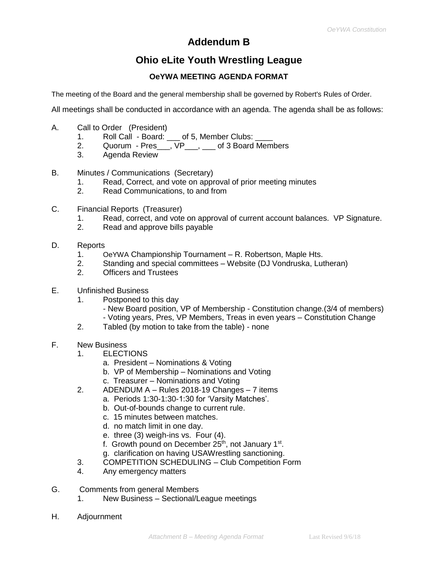# **Addendum B**

# **Ohio eLite Youth Wrestling League**

# **OeYWA MEETING AGENDA FORMAT**

The meeting of the Board and the general membership shall be governed by Robert's Rules of Order.

All meetings shall be conducted in accordance with an agenda. The agenda shall be as follows:

- A. Call to Order (President)
	- 1. Roll Call Board: \_\_\_ of 5, Member Clubs: \_\_\_\_
	- 2. Quorum Pres . VP . of 3 Board Members
	- 3. Agenda Review
- B. Minutes / Communications (Secretary)
	- 1. Read, Correct, and vote on approval of prior meeting minutes
	- 2. Read Communications, to and from
- C. Financial Reports (Treasurer)
	- 1. Read, correct, and vote on approval of current account balances. VP Signature.
	- 2. Read and approve bills payable
- D. Reports
	- 1. OeYWA Championship Tournament R. Robertson, Maple Hts.
	- 2. Standing and special committees Website (DJ Vondruska, Lutheran)
	- 2. Officers and Trustees
- E. Unfinished Business
	- 1. Postponed to this day
		- New Board position, VP of Membership Constitution change.(3/4 of members)
		- Voting years, Pres, VP Members, Treas in even years Constitution Change
	- 2. Tabled (by motion to take from the table) none
- F. New Business
	- 1. ELECTIONS
		- a. President Nominations & Voting
		- b. VP of Membership Nominations and Voting
		- c. Treasurer Nominations and Voting
	- 2. ADENDUM A Rules 2018-19 Changes 7 items
		- a. Periods 1:30-1:30-1:30 for 'Varsity Matches'.
		- b. Out-of-bounds change to current rule.
		- c. 15 minutes between matches.
		- d. no match limit in one day.
		- e. three (3) weigh-ins vs. Four (4).
		- f. Growth pound on December 25<sup>th</sup>, not January 1<sup>st</sup>.
		- g. clarification on having USAWrestling sanctioning.
	- 3. COMPETITION SCHEDULING Club Competition Form
	- 4. Any emergency matters
- G. Comments from general Members
	- 1. New Business Sectional/League meetings
- H. Adjournment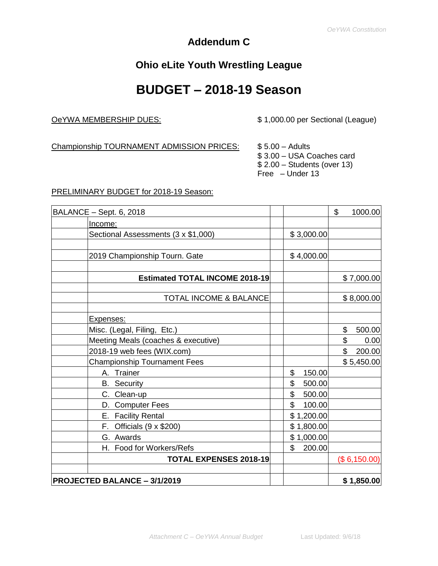# **Addendum C**

# **Ohio eLite Youth Wrestling League**

# **BUDGET – 2018-19 Season**

OeYWA MEMBERSHIP DUES: \$ 1,000.00 per Sectional (League)

Championship TOURNAMENT ADMISSION PRICES: \$5.00 - Adults

\$ 3.00 – USA Coaches card \$ 2.00 – Students (over 13) Free – Under 13

## PRELIMINARY BUDGET for 2018-19 Season:

| BALANCE - Sept. 6, 2018               |              | \$<br>1000.00 |
|---------------------------------------|--------------|---------------|
| Income:                               |              |               |
| Sectional Assessments (3 x \$1,000)   | \$3,000.00   |               |
|                                       |              |               |
| 2019 Championship Tourn. Gate         | \$4,000.00   |               |
|                                       |              |               |
| <b>Estimated TOTAL INCOME 2018-19</b> |              | \$7,000.00]   |
|                                       |              |               |
| <b>TOTAL INCOME &amp; BALANCE</b>     |              | \$8,000.00    |
| Expenses:                             |              |               |
| Misc. (Legal, Filing, Etc.)           |              | \$<br>500.00  |
| Meeting Meals (coaches & executive)   |              | \$<br>0.00    |
| 2018-19 web fees (WIX.com)            |              | \$<br>200.00  |
| <b>Championship Tournament Fees</b>   |              | \$5,450.00    |
| A. Trainer                            | \$<br>150.00 |               |
| <b>B.</b> Security                    | \$<br>500.00 |               |
| C. Clean-up                           | \$<br>500.00 |               |
| D. Computer Fees                      | \$<br>100.00 |               |
| E. Facility Rental                    | \$1,200.00   |               |
| F. Officials $(9 \times $200)$        | \$1,800.00   |               |
| G. Awards                             | \$1,000.00   |               |
| H. Food for Workers/Refs              | \$<br>200.00 |               |
| <b>TOTAL EXPENSES 2018-19</b>         |              | (\$6,150.00)  |
| <b>PROJECTED BALANCE - 3/1/2019</b>   |              | \$1,850.00    |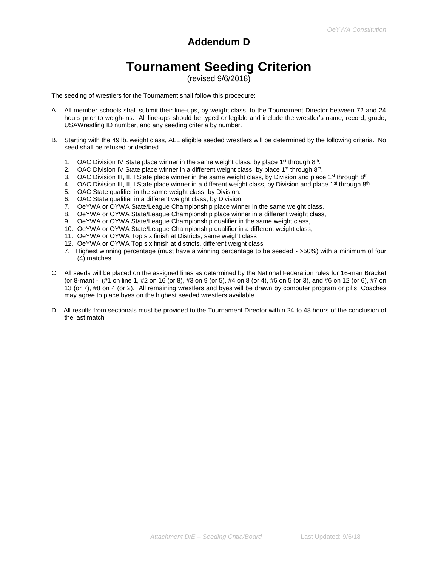# **Addendum D**

# **Tournament Seeding Criterion**

(revised 9/6/2018)

The seeding of wrestlers for the Tournament shall follow this procedure:

- A. All member schools shall submit their line-ups, by weight class, to the Tournament Director between 72 and 24 hours prior to weigh-ins. All line-ups should be typed or legible and include the wrestler's name, record, grade, USAWrestling ID number, and any seeding criteria by number.
- B. Starting with the 49 lb. weight class, ALL eligible seeded wrestlers will be determined by the following criteria. No seed shall be refused or declined.
	- 1. OAC Division IV State place winner in the same weight class, by place  $1<sup>st</sup>$  through  $8<sup>th</sup>$ .
	- 2. OAC Division IV State place winner in a different weight class, by place 1<sup>st</sup> through 8<sup>th</sup>.
	- 3. OAC Division III, II, I State place winner in the same weight class, by Division and place 1<sup>st</sup> through  $8<sup>th</sup>$
	- 4. OAC Division III, II, I State place winner in a different weight class, by Division and place 1<sup>st</sup> through 8<sup>th</sup>.
	- 5. OAC State qualifier in the same weight class, by Division.
	- 6. OAC State qualifier in a different weight class, by Division.
	- 7. OeYWA or OYWA State/League Championship place winner in the same weight class,
	- 8. OeYWA or OYWA State/League Championship place winner in a different weight class,
	- 9. OeYWA or OYWA State/League Championship qualifier in the same weight class,
	- 10. OeYWA or OYWA State/League Championship qualifier in a different weight class,
	- 11. OeYWA or OYWA Top six finish at Districts, same weight class
	- 12. OeYWA or OYWA Top six finish at districts, different weight class
	- 7. Highest winning percentage (must have a winning percentage to be seeded >50%) with a minimum of four (4) matches.
- C. All seeds will be placed on the assigned lines as determined by the National Federation rules for 16-man Bracket (or 8-man) - (#1 on line 1, #2 on 16 (or 8), #3 on 9 (or 5), #4 on 8 (or 4), #5 on 5 (or 3), and #6 on 12 (or 6), #7 on 13 (or 7), #8 on 4 (or 2). All remaining wrestlers and byes will be drawn by computer program or pills. Coaches may agree to place byes on the highest seeded wrestlers available.
- D. All results from sectionals must be provided to the Tournament Director within 24 to 48 hours of the conclusion of the last match